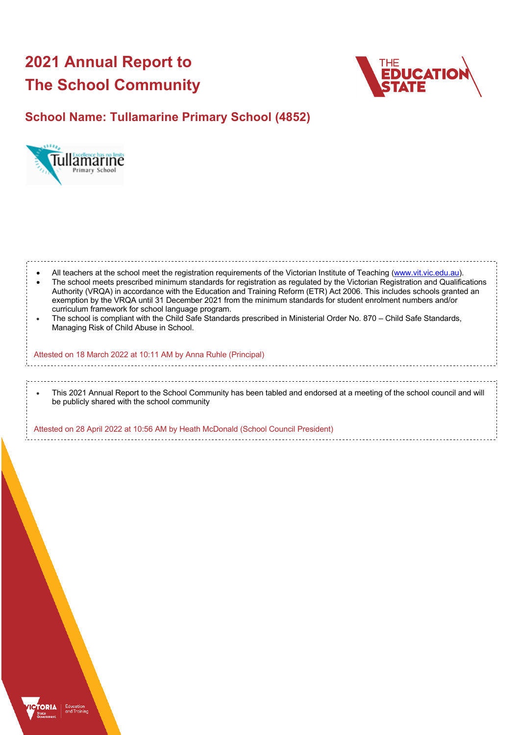# **2021 Annual Report to The School Community**



# **School Name: Tullamarine Primary School (4852)**



| All teachers at the school meet the registration requirements of the Victorian Institute of Teaching (www.vit.vic.edu.au).<br>The school meets prescribed minimum standards for registration as regulated by the Victorian Registration and Qualifications<br>Authority (VRQA) in accordance with the Education and Training Reform (ETR) Act 2006. This includes schools granted an<br>exemption by the VRQA until 31 December 2021 from the minimum standards for student enrolment numbers and/or<br>curriculum framework for school language program.<br>The school is compliant with the Child Safe Standards prescribed in Ministerial Order No. 870 - Child Safe Standards,<br>Managing Risk of Child Abuse in School. |
|-------------------------------------------------------------------------------------------------------------------------------------------------------------------------------------------------------------------------------------------------------------------------------------------------------------------------------------------------------------------------------------------------------------------------------------------------------------------------------------------------------------------------------------------------------------------------------------------------------------------------------------------------------------------------------------------------------------------------------|
| Attested on 18 March 2022 at 10:11 AM by Anna Ruhle (Principal)                                                                                                                                                                                                                                                                                                                                                                                                                                                                                                                                                                                                                                                               |
|                                                                                                                                                                                                                                                                                                                                                                                                                                                                                                                                                                                                                                                                                                                               |
| This 2021 Annual Report to the School Community has been tabled and endorsed at a meeting of the school council and will<br>be publicly shared with the school community                                                                                                                                                                                                                                                                                                                                                                                                                                                                                                                                                      |
| Attested on 28 April 2022 at 10:56 AM by Heath McDonald (School Council President)                                                                                                                                                                                                                                                                                                                                                                                                                                                                                                                                                                                                                                            |

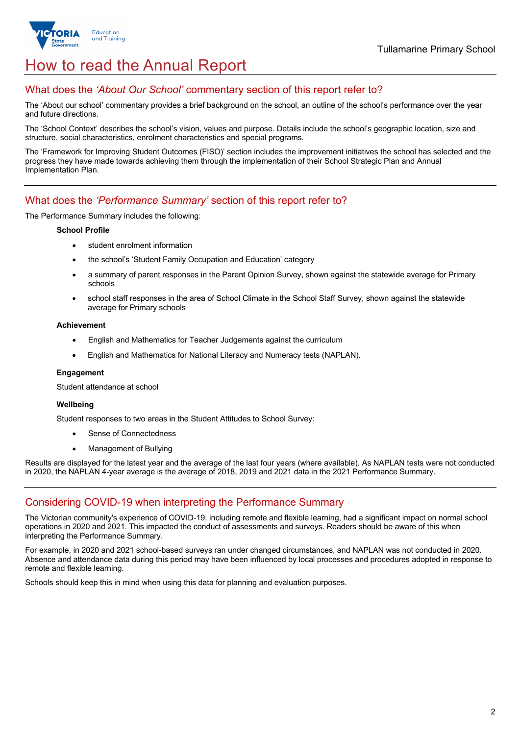

# How to read the Annual Report

## What does the *'About Our School'* commentary section of this report refer to?

The 'About our school' commentary provides a brief background on the school, an outline of the school's performance over the year and future directions.

The 'School Context' describes the school's vision, values and purpose. Details include the school's geographic location, size and structure, social characteristics, enrolment characteristics and special programs.

The 'Framework for Improving Student Outcomes (FISO)' section includes the improvement initiatives the school has selected and the progress they have made towards achieving them through the implementation of their School Strategic Plan and Annual Implementation Plan.

### What does the *'Performance Summary'* section of this report refer to?

The Performance Summary includes the following:

#### **School Profile**

- student enrolment information
- the school's 'Student Family Occupation and Education' category
- a summary of parent responses in the Parent Opinion Survey, shown against the statewide average for Primary schools
- school staff responses in the area of School Climate in the School Staff Survey, shown against the statewide average for Primary schools

#### **Achievement**

- English and Mathematics for Teacher Judgements against the curriculum
- English and Mathematics for National Literacy and Numeracy tests (NAPLAN).

#### **Engagement**

Student attendance at school

#### **Wellbeing**

Student responses to two areas in the Student Attitudes to School Survey:

- Sense of Connectedness
- Management of Bullying

Results are displayed for the latest year and the average of the last four years (where available). As NAPLAN tests were not conducted in 2020, the NAPLAN 4-year average is the average of 2018, 2019 and 2021 data in the 2021 Performance Summary.

### Considering COVID-19 when interpreting the Performance Summary

The Victorian community's experience of COVID-19, including remote and flexible learning, had a significant impact on normal school operations in 2020 and 2021. This impacted the conduct of assessments and surveys. Readers should be aware of this when interpreting the Performance Summary.

For example, in 2020 and 2021 school-based surveys ran under changed circumstances, and NAPLAN was not conducted in 2020. Absence and attendance data during this period may have been influenced by local processes and procedures adopted in response to remote and flexible learning.

Schools should keep this in mind when using this data for planning and evaluation purposes.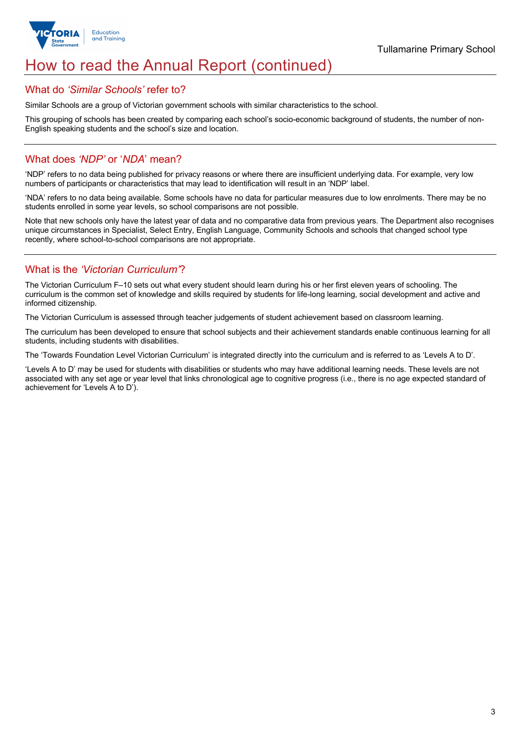

# How to read the Annual Report (continued)

### What do *'Similar Schools'* refer to?

Similar Schools are a group of Victorian government schools with similar characteristics to the school.

This grouping of schools has been created by comparing each school's socio-economic background of students, the number of non-English speaking students and the school's size and location.

### What does *'NDP'* or '*NDA*' mean?

'NDP' refers to no data being published for privacy reasons or where there are insufficient underlying data. For example, very low numbers of participants or characteristics that may lead to identification will result in an 'NDP' label.

'NDA' refers to no data being available. Some schools have no data for particular measures due to low enrolments. There may be no students enrolled in some year levels, so school comparisons are not possible.

Note that new schools only have the latest year of data and no comparative data from previous years. The Department also recognises unique circumstances in Specialist, Select Entry, English Language, Community Schools and schools that changed school type recently, where school-to-school comparisons are not appropriate.

## What is the *'Victorian Curriculum'*?

The Victorian Curriculum F–10 sets out what every student should learn during his or her first eleven years of schooling. The curriculum is the common set of knowledge and skills required by students for life-long learning, social development and active and informed citizenship.

The Victorian Curriculum is assessed through teacher judgements of student achievement based on classroom learning.

The curriculum has been developed to ensure that school subjects and their achievement standards enable continuous learning for all students, including students with disabilities.

The 'Towards Foundation Level Victorian Curriculum' is integrated directly into the curriculum and is referred to as 'Levels A to D'.

'Levels A to D' may be used for students with disabilities or students who may have additional learning needs. These levels are not associated with any set age or year level that links chronological age to cognitive progress (i.e., there is no age expected standard of achievement for 'Levels A to D').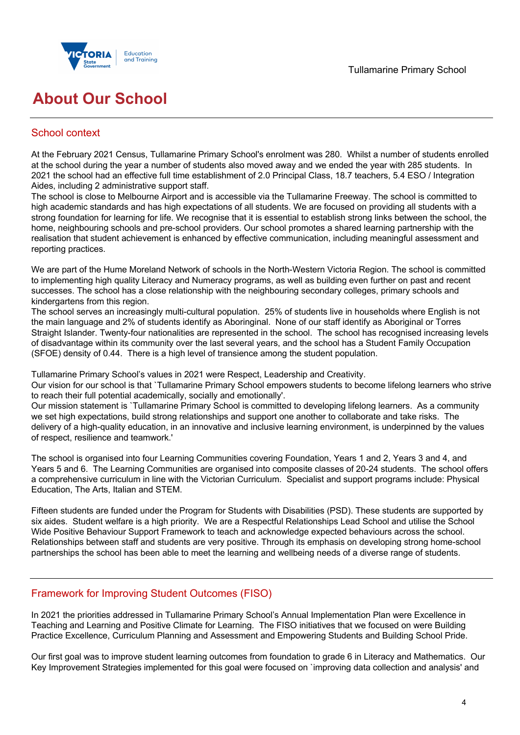

# **About Our School**

## School context

At the February 2021 Census, Tullamarine Primary School's enrolment was 280. Whilst a number of students enrolled at the school during the year a number of students also moved away and we ended the year with 285 students. In 2021 the school had an effective full time establishment of 2.0 Principal Class, 18.7 teachers, 5.4 ESO / Integration Aides, including 2 administrative support staff.

The school is close to Melbourne Airport and is accessible via the Tullamarine Freeway. The school is committed to high academic standards and has high expectations of all students. We are focused on providing all students with a strong foundation for learning for life. We recognise that it is essential to establish strong links between the school, the home, neighbouring schools and pre-school providers. Our school promotes a shared learning partnership with the realisation that student achievement is enhanced by effective communication, including meaningful assessment and reporting practices.

We are part of the Hume Moreland Network of schools in the North-Western Victoria Region. The school is committed to implementing high quality Literacy and Numeracy programs, as well as building even further on past and recent successes. The school has a close relationship with the neighbouring secondary colleges, primary schools and kindergartens from this region.

The school serves an increasingly multi-cultural population. 25% of students live in households where English is not the main language and 2% of students identify as Aboringinal. None of our staff identify as Aboriginal or Torres Straight Islander. Twenty-four nationalities are represented in the school. The school has recognised increasing levels of disadvantage within its community over the last several years, and the school has a Student Family Occupation (SFOE) density of 0.44. There is a high level of transience among the student population.

Tullamarine Primary School's values in 2021 were Respect, Leadership and Creativity.

Our vision for our school is that `Tullamarine Primary School empowers students to become lifelong learners who strive to reach their full potential academically, socially and emotionally'.

Our mission statement is `Tullamarine Primary School is committed to developing lifelong learners. As a community we set high expectations, build strong relationships and support one another to collaborate and take risks. The delivery of a high-quality education, in an innovative and inclusive learning environment, is underpinned by the values of respect, resilience and teamwork.'

The school is organised into four Learning Communities covering Foundation, Years 1 and 2, Years 3 and 4, and Years 5 and 6. The Learning Communities are organised into composite classes of 20-24 students. The school offers a comprehensive curriculum in line with the Victorian Curriculum. Specialist and support programs include: Physical Education, The Arts, Italian and STEM.

Fifteen students are funded under the Program for Students with Disabilities (PSD). These students are supported by six aides. Student welfare is a high priority. We are a Respectful Relationships Lead School and utilise the School Wide Positive Behaviour Support Framework to teach and acknowledge expected behaviours across the school. Relationships between staff and students are very positive. Through its emphasis on developing strong home-school partnerships the school has been able to meet the learning and wellbeing needs of a diverse range of students.

## Framework for Improving Student Outcomes (FISO)

In 2021 the priorities addressed in Tullamarine Primary School's Annual Implementation Plan were Excellence in Teaching and Learning and Positive Climate for Learning. The FISO initiatives that we focused on were Building Practice Excellence, Curriculum Planning and Assessment and Empowering Students and Building School Pride.

Our first goal was to improve student learning outcomes from foundation to grade 6 in Literacy and Mathematics. Our Key Improvement Strategies implemented for this goal were focused on `improving data collection and analysis' and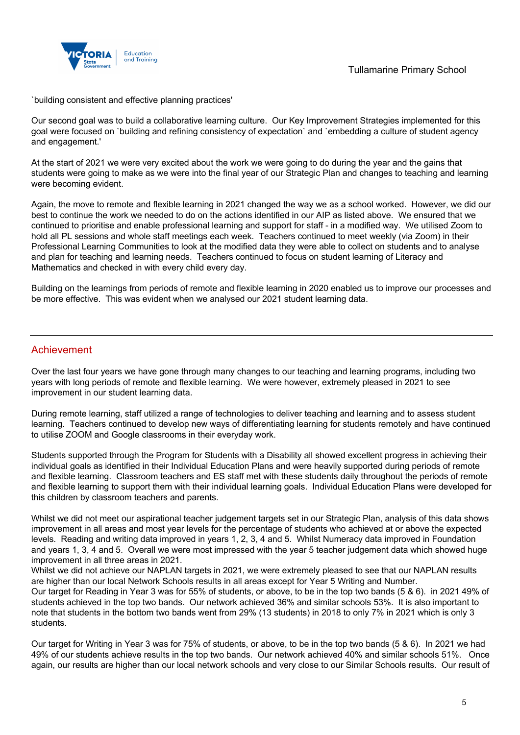

`building consistent and effective planning practices'

Our second goal was to build a collaborative learning culture. Our Key Improvement Strategies implemented for this goal were focused on `building and refining consistency of expectation` and `embedding a culture of student agency and engagement.'

At the start of 2021 we were very excited about the work we were going to do during the year and the gains that students were going to make as we were into the final year of our Strategic Plan and changes to teaching and learning were becoming evident.

Again, the move to remote and flexible learning in 2021 changed the way we as a school worked. However, we did our best to continue the work we needed to do on the actions identified in our AIP as listed above. We ensured that we continued to prioritise and enable professional learning and support for staff - in a modified way. We utilised Zoom to hold all PL sessions and whole staff meetings each week. Teachers continued to meet weekly (via Zoom) in their Professional Learning Communities to look at the modified data they were able to collect on students and to analyse and plan for teaching and learning needs. Teachers continued to focus on student learning of Literacy and Mathematics and checked in with every child every day.

Building on the learnings from periods of remote and flexible learning in 2020 enabled us to improve our processes and be more effective. This was evident when we analysed our 2021 student learning data.

### Achievement

Over the last four years we have gone through many changes to our teaching and learning programs, including two years with long periods of remote and flexible learning. We were however, extremely pleased in 2021 to see improvement in our student learning data.

During remote learning, staff utilized a range of technologies to deliver teaching and learning and to assess student learning. Teachers continued to develop new ways of differentiating learning for students remotely and have continued to utilise ZOOM and Google classrooms in their everyday work.

Students supported through the Program for Students with a Disability all showed excellent progress in achieving their individual goals as identified in their Individual Education Plans and were heavily supported during periods of remote and flexible learning. Classroom teachers and ES staff met with these students daily throughout the periods of remote and flexible learning to support them with their individual learning goals. Individual Education Plans were developed for this children by classroom teachers and parents.

Whilst we did not meet our aspirational teacher judgement targets set in our Strategic Plan, analysis of this data shows improvement in all areas and most year levels for the percentage of students who achieved at or above the expected levels. Reading and writing data improved in years 1, 2, 3, 4 and 5. Whilst Numeracy data improved in Foundation and years 1, 3, 4 and 5. Overall we were most impressed with the year 5 teacher judgement data which showed huge improvement in all three areas in 2021.

Whilst we did not achieve our NAPLAN targets in 2021, we were extremely pleased to see that our NAPLAN results are higher than our local Network Schools results in all areas except for Year 5 Writing and Number. Our target for Reading in Year 3 was for 55% of students, or above, to be in the top two bands (5 & 6). in 2021 49% of students achieved in the top two bands. Our network achieved 36% and similar schools 53%. It is also important to note that students in the bottom two bands went from 29% (13 students) in 2018 to only 7% in 2021 which is only 3 students.

Our target for Writing in Year 3 was for 75% of students, or above, to be in the top two bands (5 & 6). In 2021 we had 49% of our students achieve results in the top two bands. Our network achieved 40% and similar schools 51%. Once again, our results are higher than our local network schools and very close to our Similar Schools results. Our result of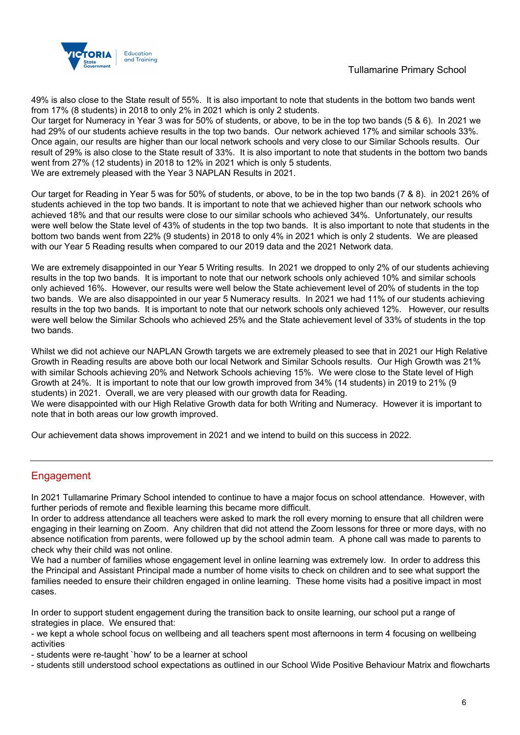

49% is also close to the State result of 55%. It is also important to note that students in the bottom two bands went from 17% (8 students) in 2018 to only 2% in 2021 which is only 2 students.

Our target for Numeracy in Year 3 was for 50% of students, or above, to be in the top two bands (5 & 6). In 2021 we had 29% of our students achieve results in the top two bands. Our network achieved 17% and similar schools 33%. Once again, our results are higher than our local network schools and very close to our Similar Schools results. Our result of 29% is also close to the State result of 33%. It is also important to note that students in the bottom two bands went from 27% (12 students) in 2018 to 12% in 2021 which is only 5 students. We are extremely pleased with the Year 3 NAPLAN Results in 2021.

Our target for Reading in Year 5 was for 50% of students, or above, to be in the top two bands (7 & 8). in 2021 26% of students achieved in the top two bands. It is important to note that we achieved higher than our network schools who achieved 18% and that our results were close to our similar schools who achieved 34%. Unfortunately, our results were well below the State level of 43% of students in the top two bands. It is also important to note that students in the bottom two bands went from 22% (9 students) in 2018 to only 4% in 2021 which is only 2 students. We are pleased with our Year 5 Reading results when compared to our 2019 data and the 2021 Network data.

We are extremely disappointed in our Year 5 Writing results. In 2021 we dropped to only 2% of our students achieving results in the top two bands. It is important to note that our network schools only achieved 10% and similar schools only achieved 16%. However, our results were well below the State achievement level of 20% of students in the top two bands. We are also disappointed in our year 5 Numeracy results. In 2021 we had 11% of our students achieving results in the top two bands. It is important to note that our network schools only achieved 12%. However, our results were well below the Similar Schools who achieved 25% and the State achievement level of 33% of students in the top two bands.

Whilst we did not achieve our NAPLAN Growth targets we are extremely pleased to see that in 2021 our High Relative Growth in Reading results are above both our local Network and Similar Schools results. Our High Growth was 21% with similar Schools achieving 20% and Network Schools achieving 15%. We were close to the State level of High Growth at 24%. It is important to note that our low growth improved from 34% (14 students) in 2019 to 21% (9 students) in 2021. Overall, we are very pleased with our growth data for Reading.

We were disappointed with our High Relative Growth data for both Writing and Numeracy. However it is important to note that in both areas our low growth improved.

Our achievement data shows improvement in 2021 and we intend to build on this success in 2022.

## Engagement

In 2021 Tullamarine Primary School intended to continue to have a major focus on school attendance. However, with further periods of remote and flexible learning this became more difficult.

In order to address attendance all teachers were asked to mark the roll every morning to ensure that all children were engaging in their learning on Zoom. Any children that did not attend the Zoom lessons for three or more days, with no absence notification from parents, were followed up by the school admin team. A phone call was made to parents to check why their child was not online.

We had a number of families whose engagement level in online learning was extremely low. In order to address this the Principal and Assistant Principal made a number of home visits to check on children and to see what support the families needed to ensure their children engaged in online learning. These home visits had a positive impact in most cases.

In order to support student engagement during the transition back to onsite learning, our school put a range of strategies in place. We ensured that:

- we kept a whole school focus on wellbeing and all teachers spent most afternoons in term 4 focusing on wellbeing activities

- students were re-taught `how' to be a learner at school

- students still understood school expectations as outlined in our School Wide Positive Behaviour Matrix and flowcharts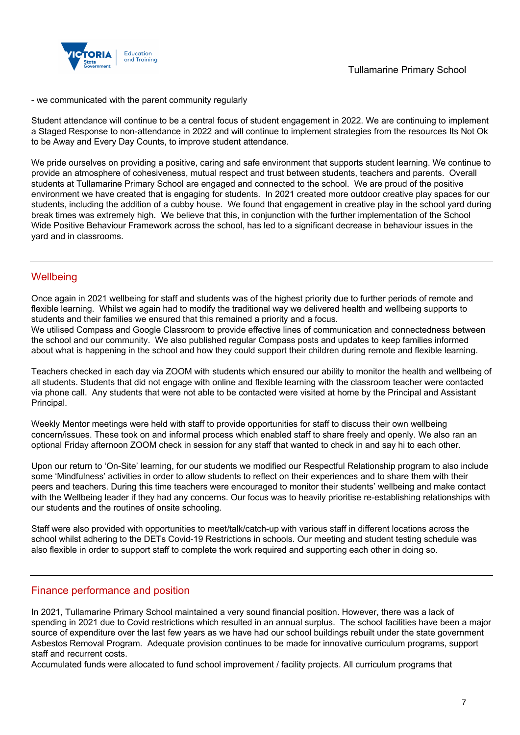

### - we communicated with the parent community regularly

Student attendance will continue to be a central focus of student engagement in 2022. We are continuing to implement a Staged Response to non-attendance in 2022 and will continue to implement strategies from the resources Its Not Ok to be Away and Every Day Counts, to improve student attendance.

We pride ourselves on providing a positive, caring and safe environment that supports student learning. We continue to provide an atmosphere of cohesiveness, mutual respect and trust between students, teachers and parents. Overall students at Tullamarine Primary School are engaged and connected to the school. We are proud of the positive environment we have created that is engaging for students. In 2021 created more outdoor creative play spaces for our students, including the addition of a cubby house. We found that engagement in creative play in the school yard during break times was extremely high. We believe that this, in conjunction with the further implementation of the School Wide Positive Behaviour Framework across the school, has led to a significant decrease in behaviour issues in the yard and in classrooms.

### **Wellbeing**

Once again in 2021 wellbeing for staff and students was of the highest priority due to further periods of remote and flexible learning. Whilst we again had to modify the traditional way we delivered health and wellbeing supports to students and their families we ensured that this remained a priority and a focus.

We utilised Compass and Google Classroom to provide effective lines of communication and connectedness between the school and our community. We also published regular Compass posts and updates to keep families informed about what is happening in the school and how they could support their children during remote and flexible learning.

Teachers checked in each day via ZOOM with students which ensured our ability to monitor the health and wellbeing of all students. Students that did not engage with online and flexible learning with the classroom teacher were contacted via phone call. Any students that were not able to be contacted were visited at home by the Principal and Assistant Principal.

Weekly Mentor meetings were held with staff to provide opportunities for staff to discuss their own wellbeing concern/issues. These took on and informal process which enabled staff to share freely and openly. We also ran an optional Friday afternoon ZOOM check in session for any staff that wanted to check in and say hi to each other.

Upon our return to 'On-Site' learning, for our students we modified our Respectful Relationship program to also include some 'Mindfulness' activities in order to allow students to reflect on their experiences and to share them with their peers and teachers. During this time teachers were encouraged to monitor their students' wellbeing and make contact with the Wellbeing leader if they had any concerns. Our focus was to heavily prioritise re-establishing relationships with our students and the routines of onsite schooling.

Staff were also provided with opportunities to meet/talk/catch-up with various staff in different locations across the school whilst adhering to the DETs Covid-19 Restrictions in schools. Our meeting and student testing schedule was also flexible in order to support staff to complete the work required and supporting each other in doing so.

### Finance performance and position

In 2021, Tullamarine Primary School maintained a very sound financial position. However, there was a lack of spending in 2021 due to Covid restrictions which resulted in an annual surplus. The school facilities have been a major source of expenditure over the last few years as we have had our school buildings rebuilt under the state government Asbestos Removal Program. Adequate provision continues to be made for innovative curriculum programs, support staff and recurrent costs.

Accumulated funds were allocated to fund school improvement / facility projects. All curriculum programs that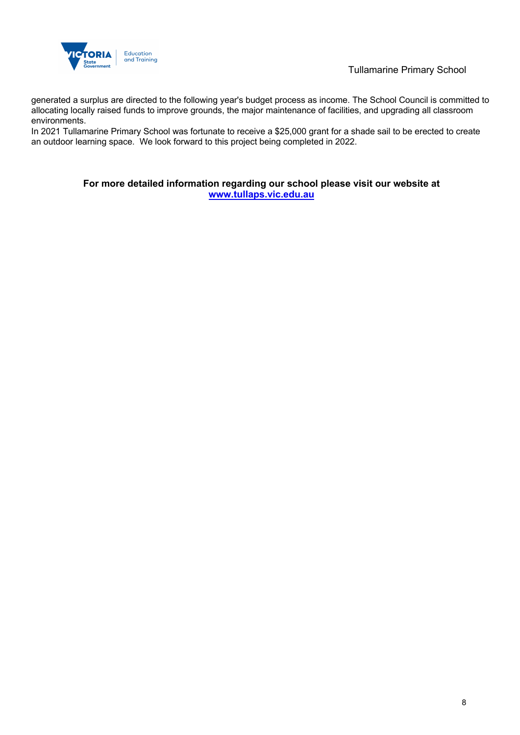

generated a surplus are directed to the following year's budget process as income. The School Council is committed to allocating locally raised funds to improve grounds, the major maintenance of facilities, and upgrading all classroom environments.

In 2021 Tullamarine Primary School was fortunate to receive a \$25,000 grant for a shade sail to be erected to create an outdoor learning space. We look forward to this project being completed in 2022.

### **For more detailed information regarding our school please visit our website at www.tullaps.vic.edu.au**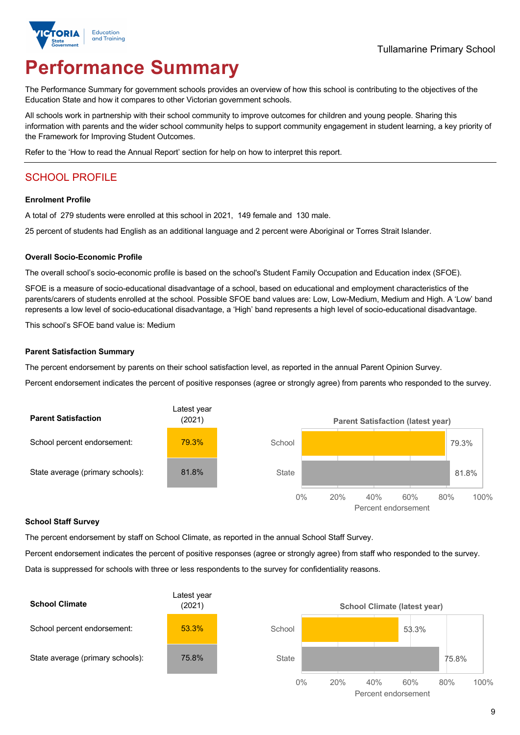

# **Performance Summary**

The Performance Summary for government schools provides an overview of how this school is contributing to the objectives of the Education State and how it compares to other Victorian government schools.

All schools work in partnership with their school community to improve outcomes for children and young people. Sharing this information with parents and the wider school community helps to support community engagement in student learning, a key priority of the Framework for Improving Student Outcomes.

Refer to the 'How to read the Annual Report' section for help on how to interpret this report.

# SCHOOL PROFILE

#### **Enrolment Profile**

A total of 279 students were enrolled at this school in 2021, 149 female and 130 male.

25 percent of students had English as an additional language and 2 percent were Aboriginal or Torres Strait Islander.

#### **Overall Socio-Economic Profile**

The overall school's socio-economic profile is based on the school's Student Family Occupation and Education index (SFOE).

SFOE is a measure of socio-educational disadvantage of a school, based on educational and employment characteristics of the parents/carers of students enrolled at the school. Possible SFOE band values are: Low, Low-Medium, Medium and High. A 'Low' band represents a low level of socio-educational disadvantage, a 'High' band represents a high level of socio-educational disadvantage.

This school's SFOE band value is: Medium

#### **Parent Satisfaction Summary**

The percent endorsement by parents on their school satisfaction level, as reported in the annual Parent Opinion Survey.

Percent endorsement indicates the percent of positive responses (agree or strongly agree) from parents who responded to the survey.



#### **School Staff Survey**

The percent endorsement by staff on School Climate, as reported in the annual School Staff Survey.

Percent endorsement indicates the percent of positive responses (agree or strongly agree) from staff who responded to the survey. Data is suppressed for schools with three or less respondents to the survey for confidentiality reasons.

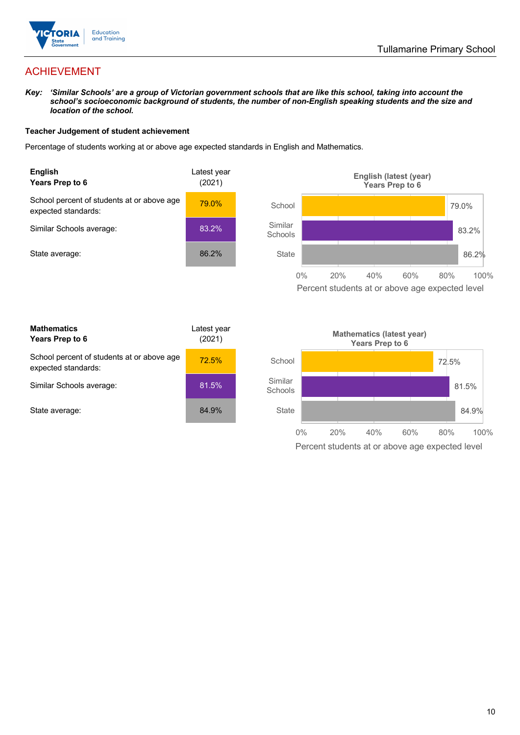

# ACHIEVEMENT

*Key: 'Similar Schools' are a group of Victorian government schools that are like this school, taking into account the school's socioeconomic background of students, the number of non-English speaking students and the size and location of the school.*

### **Teacher Judgement of student achievement**

Percentage of students working at or above age expected standards in English and Mathematics.



Percent students at or above age expected level

| <b>Mathematics</b><br>Years Prep to 6                             | Latest year<br>(2021) |
|-------------------------------------------------------------------|-----------------------|
| School percent of students at or above age<br>expected standards: | 72.5%                 |
| Similar Schools average:                                          | 81.5%                 |
| State average:                                                    | 84.9%                 |

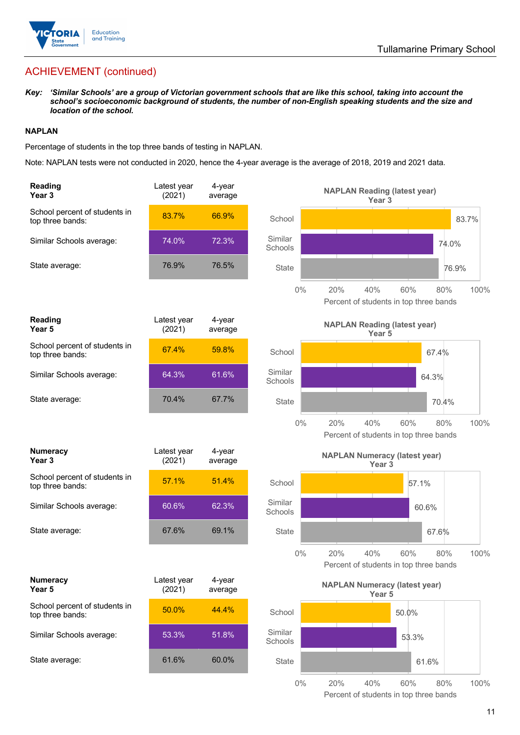

# ACHIEVEMENT (continued)

*Key: 'Similar Schools' are a group of Victorian government schools that are like this school, taking into account the school's socioeconomic background of students, the number of non-English speaking students and the size and location of the school.*

### **NAPLAN**

Percentage of students in the top three bands of testing in NAPLAN.

Note: NAPLAN tests were not conducted in 2020, hence the 4-year average is the average of 2018, 2019 and 2021 data.

| <b>Reading</b><br>Year 3                          | Latest year<br>(2021) | 4-year<br>average |                    | <b>NAPLAN Reading (latest year)</b><br>Year <sub>3</sub>                   |
|---------------------------------------------------|-----------------------|-------------------|--------------------|----------------------------------------------------------------------------|
| School percent of students in<br>top three bands: | 83.7%                 | 66.9%             | School             | 83.7%                                                                      |
| Similar Schools average:                          | 74.0%                 | 72.3%             | Similar<br>Schools | 74.0%                                                                      |
| State average:                                    | 76.9%                 | 76.5%             | <b>State</b>       | 76.9%                                                                      |
|                                                   |                       |                   | $0\%$              | 20%<br>40%<br>60%<br>80%<br>100%<br>Percent of students in top three bands |
| Reading<br>Year 5                                 | Latest year<br>(2021) | 4-year<br>average |                    | <b>NAPLAN Reading (latest year)</b><br>Year 5                              |
| School percent of students in<br>top three bands: | 67.4%                 | 59.8%             | School             | 67.4%                                                                      |
| Similar Schools average:                          | 64.3%                 | 61.6%             | Similar<br>Schools | 64.3%                                                                      |
| State average:                                    | 70.4%                 | 67.7%             | <b>State</b>       | 70.4%                                                                      |
|                                                   |                       |                   | $0\%$              | 20%<br>40%<br>60%<br>80%<br>100%<br>Percent of students in top three bands |
| <b>Numeracy</b><br>Year 3                         | Latest year<br>(2021) | 4-year<br>average |                    | <b>NAPLAN Numeracy (latest year)</b><br>Year <sub>3</sub>                  |
| School percent of students in<br>top three bands: | 57.1%                 | 51.4%             | School             | 57.1%                                                                      |
| Similar Schools average:                          | 60.6%                 | 62.3%             | Similar<br>Schools | 60.6%                                                                      |
| State average:                                    | 67.6%                 | 69.1%             | <b>State</b>       | 67.6%                                                                      |
|                                                   |                       |                   | $0\%$              | 40%<br>60%<br>80%<br>100%<br>20%<br>Percent of students in top three bands |
| <b>Numeracy</b><br>Year 5                         | Latest year<br>(2021) | 4-year<br>average |                    | <b>NAPLAN Numeracy (latest year)</b><br>Year 5                             |
| School percent of students in<br>top three bands: | 50.0%                 | 44.4%             | School             | 50.0%                                                                      |
| Similar Schools average:                          | 53.3%                 | 51.8%             | Similar<br>Schools | 53.3%                                                                      |
| State average:                                    |                       |                   |                    |                                                                            |
|                                                   | 61.6%                 | 60.0%             | <b>State</b>       | 61.6%                                                                      |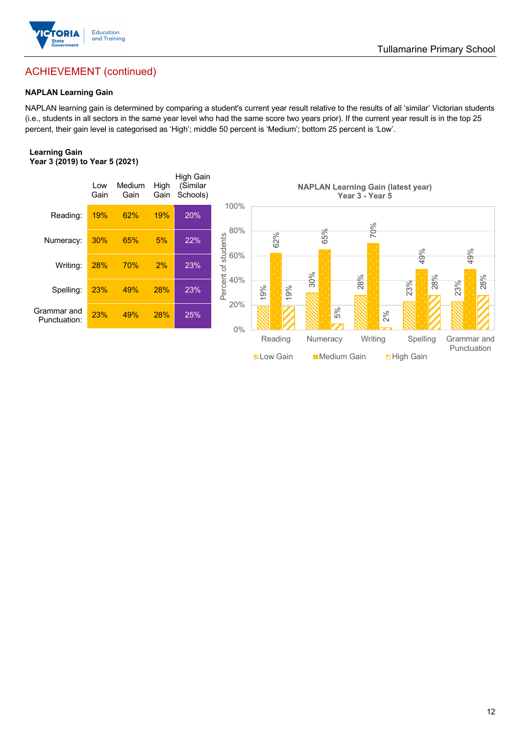

### Tullamarine Primary School

# ACHIEVEMENT (continued)

### **NAPLAN Learning Gain**

NAPLAN learning gain is determined by comparing a student's current year result relative to the results of all 'similar' Victorian students (i.e., students in all sectors in the same year level who had the same score two years prior). If the current year result is in the top 25 percent, their gain level is categorised as 'High'; middle 50 percent is 'Medium'; bottom 25 percent is 'Low'.

#### **Learning Gain Year 3 (2019) to Year 5 (2021)**



**Nation Medium Gain High Gain**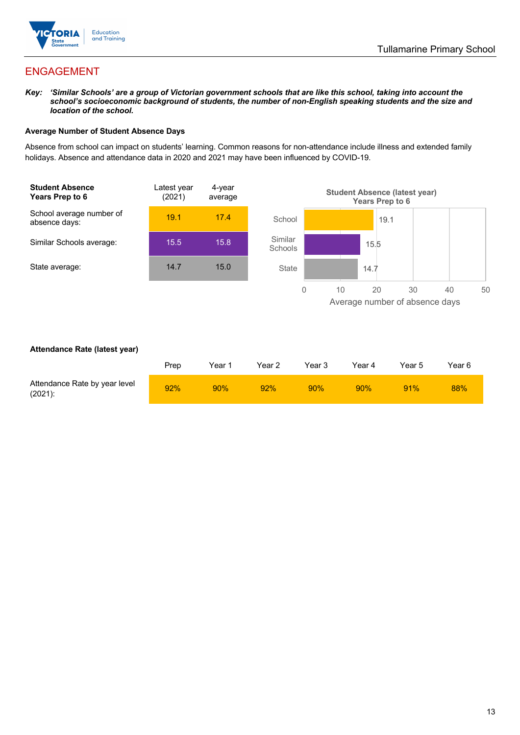

## ENGAGEMENT

*Key: 'Similar Schools' are a group of Victorian government schools that are like this school, taking into account the school's socioeconomic background of students, the number of non-English speaking students and the size and location of the school.*

### **Average Number of Student Absence Days**

Absence from school can impact on students' learning. Common reasons for non-attendance include illness and extended family holidays. Absence and attendance data in 2020 and 2021 may have been influenced by COVID-19.



### **Attendance Rate (latest year)**

|                                             | Prep | Year 1 | Year 2 | Year 3 | Year 4 | Year 5 | Year 6 |
|---------------------------------------------|------|--------|--------|--------|--------|--------|--------|
| Attendance Rate by year level<br>$(2021)$ : | 92%  | 90%    | 92%    | 90%    | 90%    | 91%    | 88%    |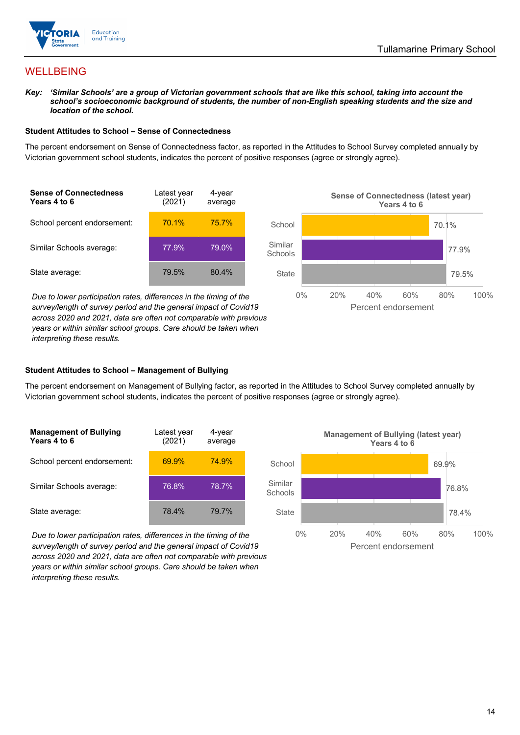

## WELLBEING

*Key: 'Similar Schools' are a group of Victorian government schools that are like this school, taking into account the*  school's socioeconomic background of students, the number of non-English speaking students and the size and *location of the school.*

#### **Student Attitudes to School – Sense of Connectedness**

The percent endorsement on Sense of Connectedness factor, as reported in the Attitudes to School Survey completed annually by Victorian government school students, indicates the percent of positive responses (agree or strongly agree).



*Due to lower participation rates, differences in the timing of the survey/length of survey period and the general impact of Covid19 across 2020 and 2021, data are often not comparable with previous years or within similar school groups. Care should be taken when interpreting these results.*



### **Student Attitudes to School – Management of Bullying**

The percent endorsement on Management of Bullying factor, as reported in the Attitudes to School Survey completed annually by Victorian government school students, indicates the percent of positive responses (agree or strongly agree).

| <b>Management of Bullying</b><br>Years 4 to 6 | Latest year<br>(2021) | 4-year<br>average |  |
|-----------------------------------------------|-----------------------|-------------------|--|
| School percent endorsement:                   | 69.9%                 | 74.9%             |  |
| Similar Schools average:                      | 76.8%                 | 78.7%             |  |
| State average:                                | 78.4%                 | 79.7%             |  |

*Due to lower participation rates, differences in the timing of the survey/length of survey period and the general impact of Covid19 across 2020 and 2021, data are often not comparable with previous years or within similar school groups. Care should be taken when interpreting these results.*

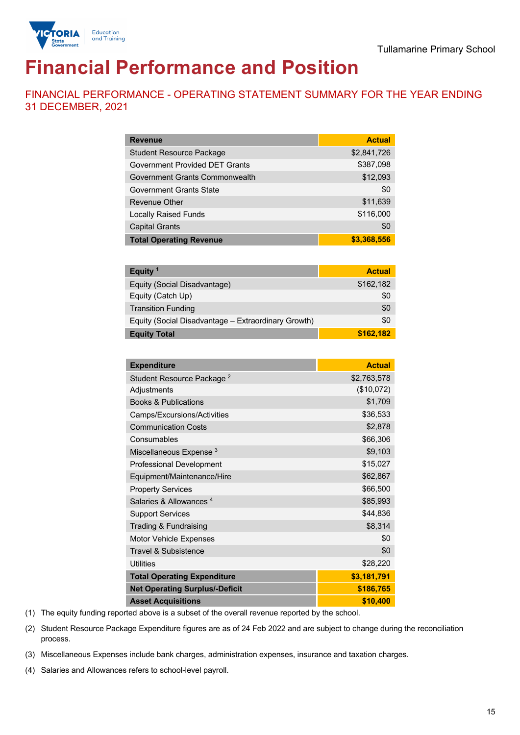

# **Financial Performance and Position**

FINANCIAL PERFORMANCE - OPERATING STATEMENT SUMMARY FOR THE YEAR ENDING 31 DECEMBER, 2021

| <b>Revenue</b>                  | <b>Actual</b> |
|---------------------------------|---------------|
| <b>Student Resource Package</b> | \$2,841,726   |
| Government Provided DET Grants  | \$387,098     |
| Government Grants Commonwealth  | \$12,093      |
| <b>Government Grants State</b>  | \$0           |
| <b>Revenue Other</b>            | \$11,639      |
| <b>Locally Raised Funds</b>     | \$116,000     |
| <b>Capital Grants</b>           | \$0           |
| <b>Total Operating Revenue</b>  | \$3,368,556   |

| Equity <sup>1</sup>                                 | <b>Actual</b> |
|-----------------------------------------------------|---------------|
| Equity (Social Disadvantage)                        | \$162,182     |
| Equity (Catch Up)                                   | \$0           |
| <b>Transition Funding</b>                           | \$0           |
| Equity (Social Disadvantage - Extraordinary Growth) | \$0           |
| <b>Equity Total</b>                                 | \$162,182     |

| <b>Expenditure</b>                    | <b>Actual</b> |
|---------------------------------------|---------------|
| Student Resource Package <sup>2</sup> | \$2,763,578   |
| Adjustments                           | (\$10,072)    |
| <b>Books &amp; Publications</b>       | \$1,709       |
| Camps/Excursions/Activities           | \$36,533      |
| <b>Communication Costs</b>            | \$2,878       |
| Consumables                           | \$66,306      |
| Miscellaneous Expense <sup>3</sup>    | \$9,103       |
| <b>Professional Development</b>       | \$15,027      |
| Equipment/Maintenance/Hire            | \$62,867      |
| <b>Property Services</b>              | \$66,500      |
| Salaries & Allowances <sup>4</sup>    | \$85,993      |
| <b>Support Services</b>               | \$44,836      |
| Trading & Fundraising                 | \$8,314       |
| Motor Vehicle Expenses                | \$0           |
| <b>Travel &amp; Subsistence</b>       | \$0           |
| <b>Utilities</b>                      | \$28,220      |
| <b>Total Operating Expenditure</b>    | \$3,181,791   |
| <b>Net Operating Surplus/-Deficit</b> | \$186,765     |
| <b>Asset Acquisitions</b>             | \$10,400      |

(1) The equity funding reported above is a subset of the overall revenue reported by the school.

(2) Student Resource Package Expenditure figures are as of 24 Feb 2022 and are subject to change during the reconciliation process.

(3) Miscellaneous Expenses include bank charges, administration expenses, insurance and taxation charges.

(4) Salaries and Allowances refers to school-level payroll.